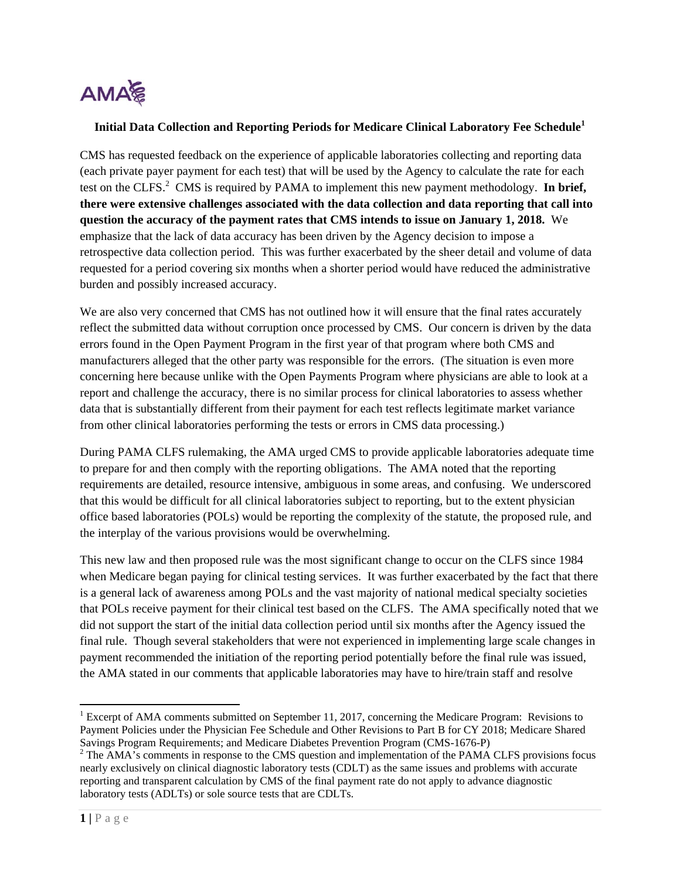

## **Initial Data Collection and Reporting Periods for Medicare Clinical Laboratory Fee Schedule<sup>1</sup>**

CMS has requested feedback on the experience of applicable laboratories collecting and reporting data (each private payer payment for each test) that will be used by the Agency to calculate the rate for each test on the CLFS.<sup>2</sup> CMS is required by PAMA to implement this new payment methodology. In brief, **there were extensive challenges associated with the data collection and data reporting that call into question the accuracy of the payment rates that CMS intends to issue on January 1, 2018.** We emphasize that the lack of data accuracy has been driven by the Agency decision to impose a retrospective data collection period. This was further exacerbated by the sheer detail and volume of data requested for a period covering six months when a shorter period would have reduced the administrative burden and possibly increased accuracy.

We are also very concerned that CMS has not outlined how it will ensure that the final rates accurately reflect the submitted data without corruption once processed by CMS. Our concern is driven by the data errors found in the Open Payment Program in the first year of that program where both CMS and manufacturers alleged that the other party was responsible for the errors. (The situation is even more concerning here because unlike with the Open Payments Program where physicians are able to look at a report and challenge the accuracy, there is no similar process for clinical laboratories to assess whether data that is substantially different from their payment for each test reflects legitimate market variance from other clinical laboratories performing the tests or errors in CMS data processing.)

During PAMA CLFS rulemaking, the AMA urged CMS to provide applicable laboratories adequate time to prepare for and then comply with the reporting obligations. The AMA noted that the reporting requirements are detailed, resource intensive, ambiguous in some areas, and confusing. We underscored that this would be difficult for all clinical laboratories subject to reporting, but to the extent physician office based laboratories (POLs) would be reporting the complexity of the statute, the proposed rule, and the interplay of the various provisions would be overwhelming.

This new law and then proposed rule was the most significant change to occur on the CLFS since 1984 when Medicare began paying for clinical testing services. It was further exacerbated by the fact that there is a general lack of awareness among POLs and the vast majority of national medical specialty societies that POLs receive payment for their clinical test based on the CLFS. The AMA specifically noted that we did not support the start of the initial data collection period until six months after the Agency issued the final rule. Though several stakeholders that were not experienced in implementing large scale changes in payment recommended the initiation of the reporting period potentially before the final rule was issued, the AMA stated in our comments that applicable laboratories may have to hire/train staff and resolve

 <sup>1</sup> Excerpt of AMA comments submitted on September 11, 2017, concerning the Medicare Program: Revisions to Payment Policies under the Physician Fee Schedule and Other Revisions to Part B for CY 2018; Medicare Shared

Savings Program Requirements; and Medicare Diabetes Prevention Program (CMS-1676-P)<br><sup>2</sup> The AMA's comments in response to the CMS question and implementation of the PAMA CLFS provisions focus nearly exclusively on clinical diagnostic laboratory tests (CDLT) as the same issues and problems with accurate reporting and transparent calculation by CMS of the final payment rate do not apply to advance diagnostic laboratory tests (ADLTs) or sole source tests that are CDLTs.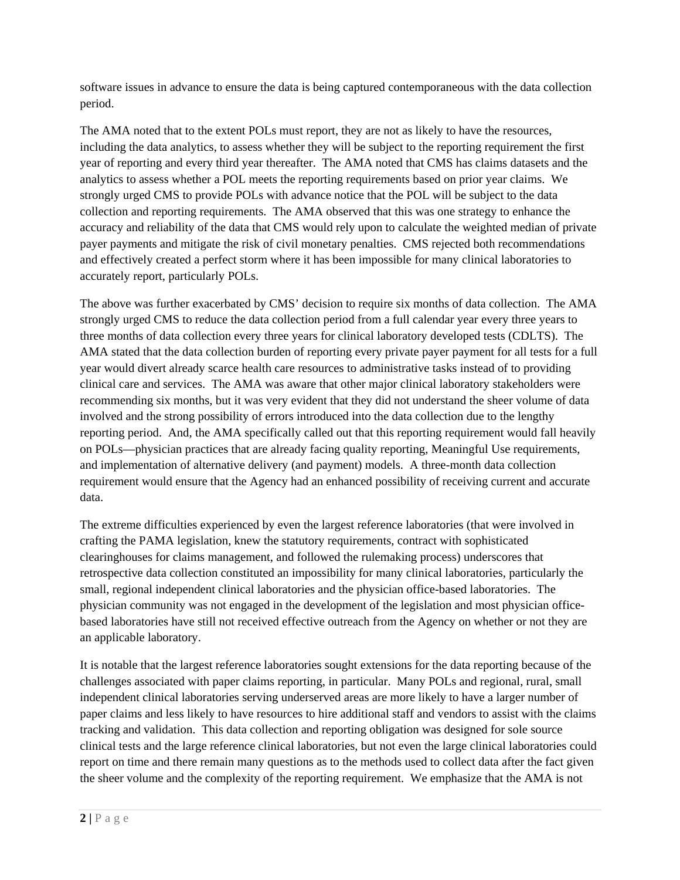software issues in advance to ensure the data is being captured contemporaneous with the data collection period.

The AMA noted that to the extent POLs must report, they are not as likely to have the resources, including the data analytics, to assess whether they will be subject to the reporting requirement the first year of reporting and every third year thereafter. The AMA noted that CMS has claims datasets and the analytics to assess whether a POL meets the reporting requirements based on prior year claims. We strongly urged CMS to provide POLs with advance notice that the POL will be subject to the data collection and reporting requirements. The AMA observed that this was one strategy to enhance the accuracy and reliability of the data that CMS would rely upon to calculate the weighted median of private payer payments and mitigate the risk of civil monetary penalties. CMS rejected both recommendations and effectively created a perfect storm where it has been impossible for many clinical laboratories to accurately report, particularly POLs.

The above was further exacerbated by CMS' decision to require six months of data collection. The AMA strongly urged CMS to reduce the data collection period from a full calendar year every three years to three months of data collection every three years for clinical laboratory developed tests (CDLTS). The AMA stated that the data collection burden of reporting every private payer payment for all tests for a full year would divert already scarce health care resources to administrative tasks instead of to providing clinical care and services. The AMA was aware that other major clinical laboratory stakeholders were recommending six months, but it was very evident that they did not understand the sheer volume of data involved and the strong possibility of errors introduced into the data collection due to the lengthy reporting period. And, the AMA specifically called out that this reporting requirement would fall heavily on POLs—physician practices that are already facing quality reporting, Meaningful Use requirements, and implementation of alternative delivery (and payment) models. A three-month data collection requirement would ensure that the Agency had an enhanced possibility of receiving current and accurate data.

The extreme difficulties experienced by even the largest reference laboratories (that were involved in crafting the PAMA legislation, knew the statutory requirements, contract with sophisticated clearinghouses for claims management, and followed the rulemaking process) underscores that retrospective data collection constituted an impossibility for many clinical laboratories, particularly the small, regional independent clinical laboratories and the physician office-based laboratories. The physician community was not engaged in the development of the legislation and most physician officebased laboratories have still not received effective outreach from the Agency on whether or not they are an applicable laboratory.

It is notable that the largest reference laboratories sought extensions for the data reporting because of the challenges associated with paper claims reporting, in particular. Many POLs and regional, rural, small independent clinical laboratories serving underserved areas are more likely to have a larger number of paper claims and less likely to have resources to hire additional staff and vendors to assist with the claims tracking and validation. This data collection and reporting obligation was designed for sole source clinical tests and the large reference clinical laboratories, but not even the large clinical laboratories could report on time and there remain many questions as to the methods used to collect data after the fact given the sheer volume and the complexity of the reporting requirement. We emphasize that the AMA is not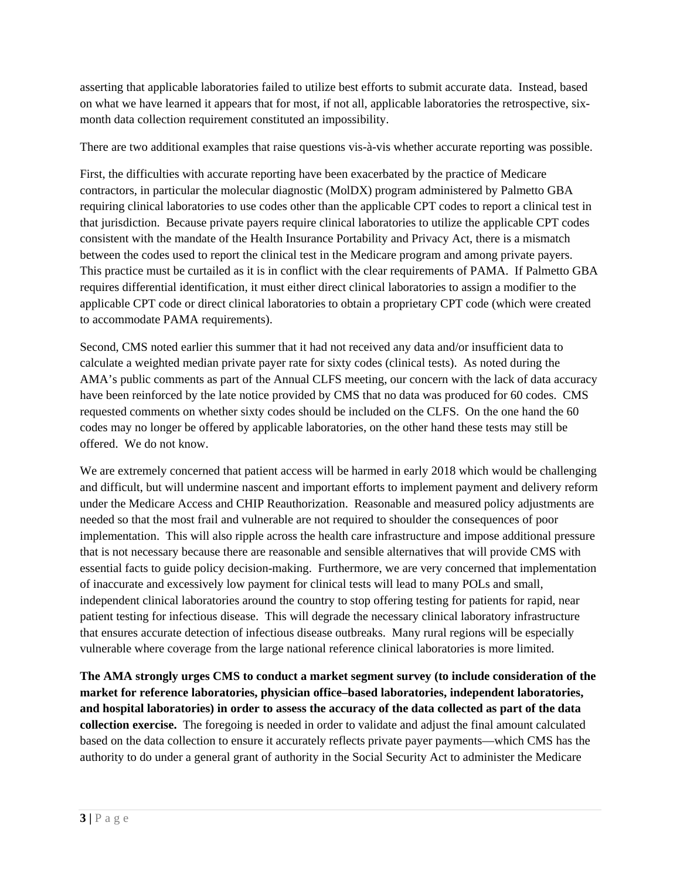asserting that applicable laboratories failed to utilize best efforts to submit accurate data. Instead, based on what we have learned it appears that for most, if not all, applicable laboratories the retrospective, sixmonth data collection requirement constituted an impossibility.

There are two additional examples that raise questions vis-à-vis whether accurate reporting was possible.

First, the difficulties with accurate reporting have been exacerbated by the practice of Medicare contractors, in particular the molecular diagnostic (MolDX) program administered by Palmetto GBA requiring clinical laboratories to use codes other than the applicable CPT codes to report a clinical test in that jurisdiction. Because private payers require clinical laboratories to utilize the applicable CPT codes consistent with the mandate of the Health Insurance Portability and Privacy Act, there is a mismatch between the codes used to report the clinical test in the Medicare program and among private payers. This practice must be curtailed as it is in conflict with the clear requirements of PAMA. If Palmetto GBA requires differential identification, it must either direct clinical laboratories to assign a modifier to the applicable CPT code or direct clinical laboratories to obtain a proprietary CPT code (which were created to accommodate PAMA requirements).

Second, CMS noted earlier this summer that it had not received any data and/or insufficient data to calculate a weighted median private payer rate for sixty codes (clinical tests). As noted during the AMA's public comments as part of the Annual CLFS meeting, our concern with the lack of data accuracy have been reinforced by the late notice provided by CMS that no data was produced for 60 codes. CMS requested comments on whether sixty codes should be included on the CLFS. On the one hand the 60 codes may no longer be offered by applicable laboratories, on the other hand these tests may still be offered. We do not know.

We are extremely concerned that patient access will be harmed in early 2018 which would be challenging and difficult, but will undermine nascent and important efforts to implement payment and delivery reform under the Medicare Access and CHIP Reauthorization. Reasonable and measured policy adjustments are needed so that the most frail and vulnerable are not required to shoulder the consequences of poor implementation. This will also ripple across the health care infrastructure and impose additional pressure that is not necessary because there are reasonable and sensible alternatives that will provide CMS with essential facts to guide policy decision-making. Furthermore, we are very concerned that implementation of inaccurate and excessively low payment for clinical tests will lead to many POLs and small, independent clinical laboratories around the country to stop offering testing for patients for rapid, near patient testing for infectious disease. This will degrade the necessary clinical laboratory infrastructure that ensures accurate detection of infectious disease outbreaks. Many rural regions will be especially vulnerable where coverage from the large national reference clinical laboratories is more limited.

**The AMA strongly urges CMS to conduct a market segment survey (to include consideration of the market for reference laboratories, physician office–based laboratories, independent laboratories, and hospital laboratories) in order to assess the accuracy of the data collected as part of the data collection exercise.** The foregoing is needed in order to validate and adjust the final amount calculated based on the data collection to ensure it accurately reflects private payer payments—which CMS has the authority to do under a general grant of authority in the Social Security Act to administer the Medicare